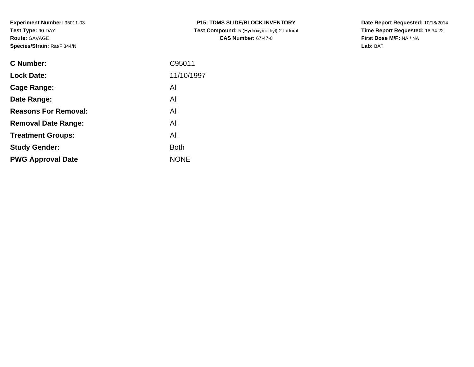**Experiment Number:** 95011-03**Test Type:** 90-DAY**Route:** GAVAGE**Species/Strain:** Rat/F 344/N

| <b>C Number:</b>            | C95011      |
|-----------------------------|-------------|
| <b>Lock Date:</b>           | 11/10/1997  |
| <b>Cage Range:</b>          | All         |
| Date Range:                 | All         |
| <b>Reasons For Removal:</b> | All         |
| <b>Removal Date Range:</b>  | All         |
| <b>Treatment Groups:</b>    | All         |
| <b>Study Gender:</b>        | <b>Both</b> |
| <b>PWG Approval Date</b>    | <b>NONE</b> |
|                             |             |

**P15: TDMS SLIDE/BLOCK INVENTORY Test Compound:** 5-(Hydroxymethyl)-2-furfural **CAS Number:** 67-47-0

**Date Report Requested:** 10/18/2014 **Time Report Requested:** 18:34:22**First Dose M/F:** NA / NA**Lab:** BAT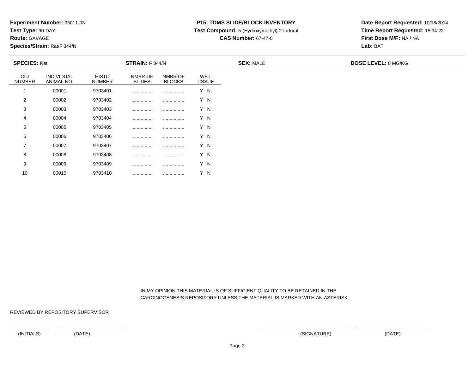**Test Type:** 90-DAY

**Route:** GAVAGE

10

**Species/Strain:** Rat/F 344/N

## **P15: TDMS SLIDE/BLOCK INVENTORY**

**Test Compound:** 5-(Hydroxymethyl)-2-furfural

**CAS Number:** 67-47-0

**Date Report Requested:** 10/18/2014**Time Report Requested:** 18:34:22**First Dose M/F:** NA / NA**Lab:** BAT

| <b>SPECIES: Rat</b>         |                          |                               | <b>STRAIN:</b> F 344/N   |                          |                             | <b>SEX: MALE</b> | <b>DOSE LEVEL: 0 MG/KG</b> |
|-----------------------------|--------------------------|-------------------------------|--------------------------|--------------------------|-----------------------------|------------------|----------------------------|
| <b>CID</b><br><b>NUMBER</b> | INDIVIDUAL<br>ANIMAL NO. | <b>HISTO</b><br><b>NUMBER</b> | NMBR OF<br><b>SLIDES</b> | NMBR OF<br><b>BLOCKS</b> | <b>WET</b><br><b>TISSUE</b> |                  |                            |
|                             | 00001                    | 9703401                       |                          | .                        | Y N                         |                  |                            |
| 2                           | 00002                    | 9703402                       |                          |                          | Y N                         |                  |                            |
| 3                           | 00003                    | 9703403                       |                          |                          | Y N                         |                  |                            |
| 4                           | 00004                    | 9703404                       |                          |                          | Y N                         |                  |                            |
| 5                           | 00005                    | 9703405                       |                          | .                        | Y N                         |                  |                            |
| 6                           | 00006                    | 9703406                       |                          |                          | Y N                         |                  |                            |
| $\overline{7}$              | 00007                    | 9703407                       |                          |                          | Y N                         |                  |                            |
| 8                           | 00008                    | 9703408                       |                          |                          | Y N                         |                  |                            |
| 9                           | 00009                    | 9703409                       |                          |                          | Y N                         |                  |                            |

 IN MY OPINION THIS MATERIAL IS OF SUFFICIENT QUALITY TO BE RETAINED IN THECARCINOGENESIS REPOSITORY UNLESS THE MATERIAL IS MARKED WITH AN ASTERISK

REVIEWED BY REPOSITORY SUPERVISOR

<sup>00010</sup> <sup>9703410</sup> ................ ................ Y N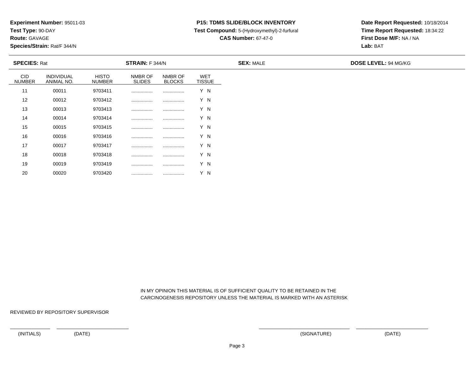**Test Type:** 90-DAY

**Route:** GAVAGE

20

**Species/Strain:** Rat/F 344/N

### **P15: TDMS SLIDE/BLOCK INVENTORY**

**Test Compound:** 5-(Hydroxymethyl)-2-furfural

**CAS Number:** 67-47-0

**Date Report Requested:** 10/18/2014**Time Report Requested:** 18:34:22**First Dose M/F:** NA / NA**Lab:** BAT

| <b>SPECIES: Rat</b>         |                          |                               | STRAIN: F 344/N          |                          |                             | <b>SEX: MALE</b> | <b>DOSE LEVEL: 94 MG/KG</b> |
|-----------------------------|--------------------------|-------------------------------|--------------------------|--------------------------|-----------------------------|------------------|-----------------------------|
| <b>CID</b><br><b>NUMBER</b> | INDIVIDUAL<br>ANIMAL NO. | <b>HISTO</b><br><b>NUMBER</b> | NMBR OF<br><b>SLIDES</b> | NMBR OF<br><b>BLOCKS</b> | <b>WET</b><br><b>TISSUE</b> |                  |                             |
| 11                          | 00011                    | 9703411                       |                          |                          | Y N                         |                  |                             |
| 12                          | 00012                    | 9703412                       |                          |                          | Y N                         |                  |                             |
| 13                          | 00013                    | 9703413                       |                          |                          | Y N                         |                  |                             |
| 14                          | 00014                    | 9703414                       |                          |                          | Y N                         |                  |                             |
| 15                          | 00015                    | 9703415                       |                          |                          | Y N                         |                  |                             |
| 16                          | 00016                    | 9703416                       |                          |                          | Y N                         |                  |                             |
| 17                          | 00017                    | 9703417                       |                          | .                        | Y N                         |                  |                             |
| 18                          | 00018                    | 9703418                       |                          |                          | Y N                         |                  |                             |
| 19                          | 00019                    | 9703419                       |                          | .                        | Y N                         |                  |                             |

 IN MY OPINION THIS MATERIAL IS OF SUFFICIENT QUALITY TO BE RETAINED IN THECARCINOGENESIS REPOSITORY UNLESS THE MATERIAL IS MARKED WITH AN ASTERISK

REVIEWED BY REPOSITORY SUPERVISOR

<sup>00020</sup> <sup>9703420</sup> ................ ................ Y N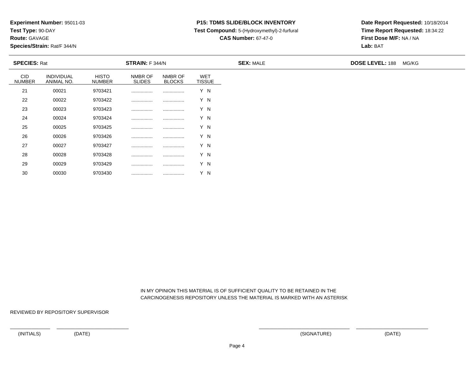**Test Type:** 90-DAY

**Route:** GAVAGE

30

**Species/Strain:** Rat/F 344/N

### **P15: TDMS SLIDE/BLOCK INVENTORY**

**Test Compound:** 5-(Hydroxymethyl)-2-furfural

**CAS Number:** 67-47-0

**Date Report Requested:** 10/18/2014**Time Report Requested:** 18:34:22**First Dose M/F:** NA / NA**Lab:** BAT

| <b>SPECIES: Rat</b>         |                          |                               | <b>STRAIN:</b> F 344/N   |                          |                             | <b>SEX: MALE</b> | <b>DOSE LEVEL: 188</b> | MG/KG |
|-----------------------------|--------------------------|-------------------------------|--------------------------|--------------------------|-----------------------------|------------------|------------------------|-------|
| <b>CID</b><br><b>NUMBER</b> | INDIVIDUAL<br>ANIMAL NO. | <b>HISTO</b><br><b>NUMBER</b> | NMBR OF<br><b>SLIDES</b> | NMBR OF<br><b>BLOCKS</b> | <b>WET</b><br><b>TISSUE</b> |                  |                        |       |
| 21                          | 00021                    | 9703421                       |                          |                          | Y N                         |                  |                        |       |
| 22                          | 00022                    | 9703422                       |                          |                          | Y N                         |                  |                        |       |
| 23                          | 00023                    | 9703423                       |                          |                          | Y N                         |                  |                        |       |
| 24                          | 00024                    | 9703424                       |                          |                          | Y N                         |                  |                        |       |
| 25                          | 00025                    | 9703425                       |                          |                          | Y N                         |                  |                        |       |
| 26                          | 00026                    | 9703426                       |                          |                          | Y N                         |                  |                        |       |
| 27                          | 00027                    | 9703427                       |                          |                          | Y N                         |                  |                        |       |
| 28                          | 00028                    | 9703428                       |                          |                          | Y N                         |                  |                        |       |
| 29                          | 00029                    | 9703429                       | .                        |                          | Y N                         |                  |                        |       |

 IN MY OPINION THIS MATERIAL IS OF SUFFICIENT QUALITY TO BE RETAINED IN THECARCINOGENESIS REPOSITORY UNLESS THE MATERIAL IS MARKED WITH AN ASTERISK

REVIEWED BY REPOSITORY SUPERVISOR

<sup>00030</sup> <sup>9703430</sup> ................ ................ Y N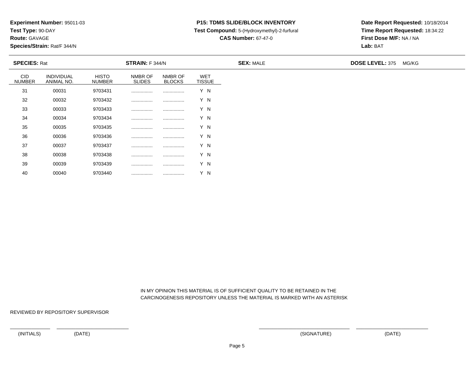**Test Type:** 90-DAY

**Route:** GAVAGE

40

**Species/Strain:** Rat/F 344/N

### **P15: TDMS SLIDE/BLOCK INVENTORY**

**Test Compound:** 5-(Hydroxymethyl)-2-furfural

**CAS Number:** 67-47-0

**Date Report Requested:** 10/18/2014**Time Report Requested:** 18:34:22**First Dose M/F:** NA / NA**Lab:** BAT

| <b>SPECIES: Rat</b>         |                          |                               | <b>STRAIN:</b> F 344/N   |                          |                             | <b>SEX: MALE</b> | <b>DOSE LEVEL: 375</b> | MG/KG |
|-----------------------------|--------------------------|-------------------------------|--------------------------|--------------------------|-----------------------------|------------------|------------------------|-------|
| <b>CID</b><br><b>NUMBER</b> | INDIVIDUAL<br>ANIMAL NO. | <b>HISTO</b><br><b>NUMBER</b> | NMBR OF<br><b>SLIDES</b> | NMBR OF<br><b>BLOCKS</b> | <b>WET</b><br><b>TISSUE</b> |                  |                        |       |
| 31                          | 00031                    | 9703431                       |                          |                          | Y N                         |                  |                        |       |
| 32                          | 00032                    | 9703432                       |                          |                          | Y N                         |                  |                        |       |
| 33                          | 00033                    | 9703433                       |                          |                          | Y N                         |                  |                        |       |
| 34                          | 00034                    | 9703434                       |                          |                          | Y N                         |                  |                        |       |
| 35                          | 00035                    | 9703435                       |                          |                          | Y N                         |                  |                        |       |
| 36                          | 00036                    | 9703436                       |                          |                          | Y N                         |                  |                        |       |
| 37                          | 00037                    | 9703437                       |                          |                          | Y N                         |                  |                        |       |
| 38                          | 00038                    | 9703438                       |                          |                          | Y N                         |                  |                        |       |
| 39                          | 00039                    | 9703439                       |                          |                          | Y N                         |                  |                        |       |

 IN MY OPINION THIS MATERIAL IS OF SUFFICIENT QUALITY TO BE RETAINED IN THECARCINOGENESIS REPOSITORY UNLESS THE MATERIAL IS MARKED WITH AN ASTERISK

REVIEWED BY REPOSITORY SUPERVISOR

<sup>00040</sup> <sup>9703440</sup> ................ ................ Y N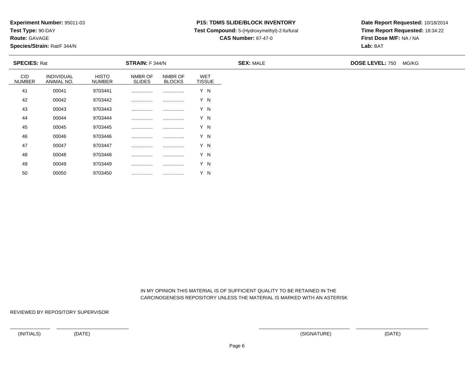**Test Type:** 90-DAY

**Route:** GAVAGE

50

**Species/Strain:** Rat/F 344/N

### **P15: TDMS SLIDE/BLOCK INVENTORY**

**Test Compound:** 5-(Hydroxymethyl)-2-furfural

**CAS Number:** 67-47-0

**Date Report Requested:** 10/18/2014**Time Report Requested:** 18:34:22**First Dose M/F:** NA / NA**Lab:** BAT

| <b>SPECIES: Rat</b>         |                          |                               | <b>STRAIN:</b> F 344/N   |                          |                             | <b>SEX: MALE</b> | <b>DOSE LEVEL: 750</b> | MG/KG |
|-----------------------------|--------------------------|-------------------------------|--------------------------|--------------------------|-----------------------------|------------------|------------------------|-------|
| <b>CID</b><br><b>NUMBER</b> | INDIVIDUAL<br>ANIMAL NO. | <b>HISTO</b><br><b>NUMBER</b> | NMBR OF<br><b>SLIDES</b> | NMBR OF<br><b>BLOCKS</b> | <b>WET</b><br><b>TISSUE</b> |                  |                        |       |
| 41                          | 00041                    | 9703441                       |                          |                          | Y N                         |                  |                        |       |
| 42                          | 00042                    | 9703442                       |                          |                          | Y N                         |                  |                        |       |
| 43                          | 00043                    | 9703443                       |                          |                          | Y N                         |                  |                        |       |
| 44                          | 00044                    | 9703444                       |                          |                          | Y N                         |                  |                        |       |
| 45                          | 00045                    | 9703445                       |                          |                          | Y N                         |                  |                        |       |
| 46                          | 00046                    | 9703446                       |                          |                          | Y N                         |                  |                        |       |
| 47                          | 00047                    | 9703447                       |                          |                          | Y N                         |                  |                        |       |
| 48                          | 00048                    | 9703448                       |                          |                          | Y N                         |                  |                        |       |
| 49                          | 00049                    | 9703449                       |                          |                          | Y N                         |                  |                        |       |

 IN MY OPINION THIS MATERIAL IS OF SUFFICIENT QUALITY TO BE RETAINED IN THECARCINOGENESIS REPOSITORY UNLESS THE MATERIAL IS MARKED WITH AN ASTERISK

REVIEWED BY REPOSITORY SUPERVISOR

<sup>00050</sup> <sup>9703450</sup> ................ ................ Y N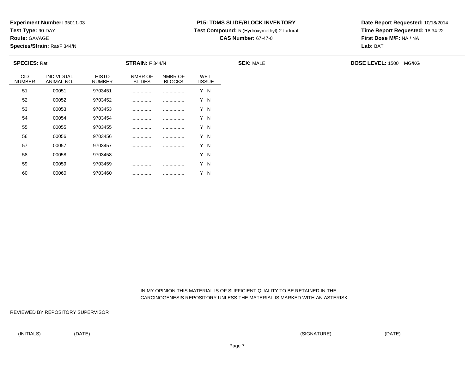**Test Type:** 90-DAY

**Route:** GAVAGE

60

**Species/Strain:** Rat/F 344/N

### **P15: TDMS SLIDE/BLOCK INVENTORY**

**Test Compound:** 5-(Hydroxymethyl)-2-furfural

**CAS Number:** 67-47-0

**Date Report Requested:** 10/18/2014**Time Report Requested:** 18:34:22**First Dose M/F:** NA / NA**Lab:** BAT

| <b>SPECIES: Rat</b>         |                          |                               | STRAIN: F 344/N          |                          |                      | <b>SEX: MALE</b> | DOSE LEVEL: 1500 MG/KG |  |
|-----------------------------|--------------------------|-------------------------------|--------------------------|--------------------------|----------------------|------------------|------------------------|--|
| <b>CID</b><br><b>NUMBER</b> | INDIVIDUAL<br>ANIMAL NO. | <b>HISTO</b><br><b>NUMBER</b> | NMBR OF<br><b>SLIDES</b> | NMBR OF<br><b>BLOCKS</b> | WET<br><b>TISSUE</b> |                  |                        |  |
| 51                          | 00051                    | 9703451                       |                          |                          | Y N                  |                  |                        |  |
| 52                          | 00052                    | 9703452                       |                          |                          | Y N                  |                  |                        |  |
| 53                          | 00053                    | 9703453                       |                          |                          | Y N                  |                  |                        |  |
| 54                          | 00054                    | 9703454                       |                          |                          | Y N                  |                  |                        |  |
| 55                          | 00055                    | 9703455                       |                          |                          | Y N                  |                  |                        |  |
| 56                          | 00056                    | 9703456                       |                          |                          | Y N                  |                  |                        |  |
| 57                          | 00057                    | 9703457                       |                          |                          | Y N                  |                  |                        |  |
| 58                          | 00058                    | 9703458                       |                          |                          | Y N                  |                  |                        |  |
| 59                          | 00059                    | 9703459                       |                          |                          | Y N                  |                  |                        |  |

 IN MY OPINION THIS MATERIAL IS OF SUFFICIENT QUALITY TO BE RETAINED IN THECARCINOGENESIS REPOSITORY UNLESS THE MATERIAL IS MARKED WITH AN ASTERISK

REVIEWED BY REPOSITORY SUPERVISOR

<sup>00060</sup> <sup>9703460</sup> ................ ................ Y N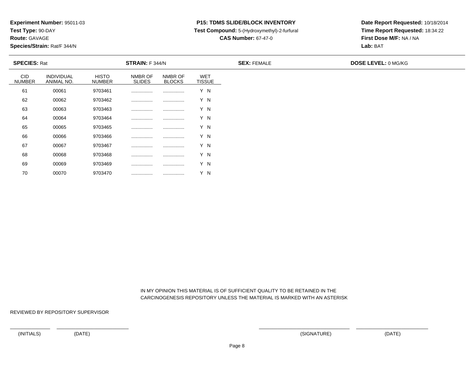**Test Type:** 90-DAY

**Route:** GAVAGE

70

**Species/Strain:** Rat/F 344/N

### **P15: TDMS SLIDE/BLOCK INVENTORY**

**Test Compound:** 5-(Hydroxymethyl)-2-furfural

**CAS Number:** 67-47-0

**Date Report Requested:** 10/18/2014**Time Report Requested:** 18:34:22**First Dose M/F:** NA / NA**Lab:** BAT

| <b>SPECIES: Rat</b>         |                                 |                               | STRAIN: F 344/N          |                          |                             | <b>SEX: FEMALE</b> | <b>DOSE LEVEL: 0 MG/KG</b> |
|-----------------------------|---------------------------------|-------------------------------|--------------------------|--------------------------|-----------------------------|--------------------|----------------------------|
| <b>CID</b><br><b>NUMBER</b> | <b>INDIVIDUAL</b><br>ANIMAL NO. | <b>HISTO</b><br><b>NUMBER</b> | NMBR OF<br><b>SLIDES</b> | NMBR OF<br><b>BLOCKS</b> | <b>WET</b><br><b>TISSUE</b> |                    |                            |
| 61                          | 00061                           | 9703461                       |                          |                          | Y N                         |                    |                            |
| 62                          | 00062                           | 9703462                       |                          |                          | Y N                         |                    |                            |
| 63                          | 00063                           | 9703463                       |                          |                          | Y N                         |                    |                            |
| 64                          | 00064                           | 9703464                       |                          |                          | Y N                         |                    |                            |
| 65                          | 00065                           | 9703465                       |                          |                          | Y N                         |                    |                            |
| 66                          | 00066                           | 9703466                       |                          |                          | Y N                         |                    |                            |
| 67                          | 00067                           | 9703467                       |                          |                          | Y N                         |                    |                            |
| 68                          | 00068                           | 9703468                       |                          |                          | Y N                         |                    |                            |
| 69                          | 00069                           | 9703469                       |                          |                          | Y N                         |                    |                            |

 IN MY OPINION THIS MATERIAL IS OF SUFFICIENT QUALITY TO BE RETAINED IN THECARCINOGENESIS REPOSITORY UNLESS THE MATERIAL IS MARKED WITH AN ASTERISK

REVIEWED BY REPOSITORY SUPERVISOR

<sup>00070</sup> <sup>9703470</sup> ................ ................ Y N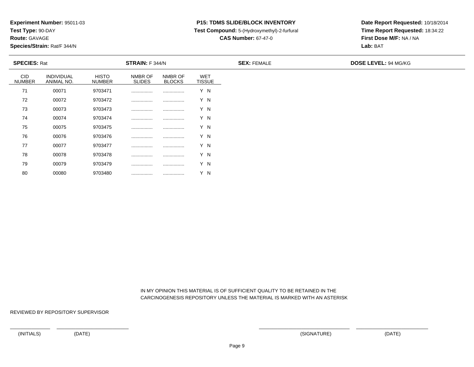**Test Type:** 90-DAY

**Route:** GAVAGE

80

**Species/Strain:** Rat/F 344/N

## **P15: TDMS SLIDE/BLOCK INVENTORY**

**Test Compound:** 5-(Hydroxymethyl)-2-furfural

**CAS Number:** 67-47-0

**Date Report Requested:** 10/18/2014**Time Report Requested:** 18:34:22**First Dose M/F:** NA / NA**Lab:** BAT

|                             | <b>SPECIES: Rat</b>      |                               | STRAIN: F 344/N          |                          |                             | <b>SEX: FEMALE</b> | <b>DOSE LEVEL: 94 MG/KG</b> |
|-----------------------------|--------------------------|-------------------------------|--------------------------|--------------------------|-----------------------------|--------------------|-----------------------------|
| <b>CID</b><br><b>NUMBER</b> | INDIVIDUAL<br>ANIMAL NO. | <b>HISTO</b><br><b>NUMBER</b> | NMBR OF<br><b>SLIDES</b> | NMBR OF<br><b>BLOCKS</b> | <b>WET</b><br><b>TISSUE</b> |                    |                             |
| 71                          | 00071                    | 9703471                       |                          |                          | Y N                         |                    |                             |
| 72                          | 00072                    | 9703472                       |                          |                          | Y N                         |                    |                             |
| 73                          | 00073                    | 9703473                       |                          |                          | Y N                         |                    |                             |
| 74                          | 00074                    | 9703474                       |                          |                          | Y N                         |                    |                             |
| 75                          | 00075                    | 9703475                       |                          |                          | Y N                         |                    |                             |
| 76                          | 00076                    | 9703476                       |                          |                          | Y N                         |                    |                             |
| 77                          | 00077                    | 9703477                       |                          |                          | Y N                         |                    |                             |
| 78                          | 00078                    | 9703478                       | .                        |                          | Y N                         |                    |                             |
| 79                          | 00079                    | 9703479                       |                          |                          | Y N                         |                    |                             |

 IN MY OPINION THIS MATERIAL IS OF SUFFICIENT QUALITY TO BE RETAINED IN THECARCINOGENESIS REPOSITORY UNLESS THE MATERIAL IS MARKED WITH AN ASTERISK

REVIEWED BY REPOSITORY SUPERVISOR

<sup>00080</sup> <sup>9703480</sup> ................ ................ Y N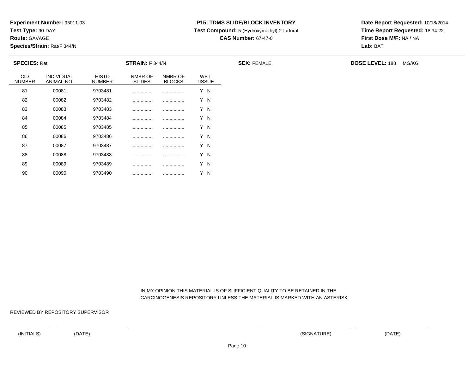**Test Type:** 90-DAY

**Route:** GAVAGE

90

**Species/Strain:** Rat/F 344/N

### **P15: TDMS SLIDE/BLOCK INVENTORY**

**Test Compound:** 5-(Hydroxymethyl)-2-furfural

**CAS Number:** 67-47-0

**Date Report Requested:** 10/18/2014**Time Report Requested:** 18:34:22**First Dose M/F:** NA / NA**Lab:** BAT

| <b>SPECIES: Rat</b>         |                          |                               | <b>STRAIN:</b> F 344/N   |                          |                             | <b>SEX: FEMALE</b> | <b>DOSE LEVEL: 188</b> | MG/KG |
|-----------------------------|--------------------------|-------------------------------|--------------------------|--------------------------|-----------------------------|--------------------|------------------------|-------|
| <b>CID</b><br><b>NUMBER</b> | INDIVIDUAL<br>ANIMAL NO. | <b>HISTO</b><br><b>NUMBER</b> | NMBR OF<br><b>SLIDES</b> | NMBR OF<br><b>BLOCKS</b> | <b>WET</b><br><b>TISSUE</b> |                    |                        |       |
| 81                          | 00081                    | 9703481                       |                          |                          | Y N                         |                    |                        |       |
| 82                          | 00082                    | 9703482                       |                          |                          | Y N                         |                    |                        |       |
| 83                          | 00083                    | 9703483                       |                          |                          | Y N                         |                    |                        |       |
| 84                          | 00084                    | 9703484                       |                          |                          | Y N                         |                    |                        |       |
| 85                          | 00085                    | 9703485                       |                          |                          | Y N                         |                    |                        |       |
| 86                          | 00086                    | 9703486                       | .                        |                          | Y N                         |                    |                        |       |
| 87                          | 00087                    | 9703487                       |                          |                          | Y N                         |                    |                        |       |
| 88                          | 00088                    | 9703488                       |                          |                          | Y N                         |                    |                        |       |
| 89                          | 00089                    | 9703489                       | .                        |                          | Y N                         |                    |                        |       |

 IN MY OPINION THIS MATERIAL IS OF SUFFICIENT QUALITY TO BE RETAINED IN THECARCINOGENESIS REPOSITORY UNLESS THE MATERIAL IS MARKED WITH AN ASTERISK

REVIEWED BY REPOSITORY SUPERVISOR

<sup>00090</sup> <sup>9703490</sup> ................ ................ Y N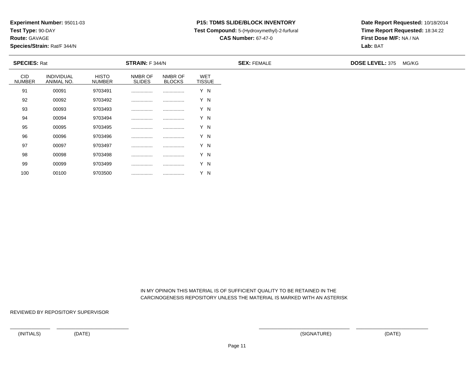**Test Type:** 90-DAY

**Route:** GAVAGE

100

**Species/Strain:** Rat/F 344/N

# **P15: TDMS SLIDE/BLOCK INVENTORY**

**Test Compound:** 5-(Hydroxymethyl)-2-furfural

**CAS Number:** 67-47-0

**Date Report Requested:** 10/18/2014**Time Report Requested:** 18:34:22**First Dose M/F:** NA / NA**Lab:** BAT

| <b>SPECIES: Rat</b>         |                          |                               | <b>STRAIN:</b> F 344/N   |                          |                             | <b>SEX: FEMALE</b> | <b>DOSE LEVEL: 375</b> | MG/KG |
|-----------------------------|--------------------------|-------------------------------|--------------------------|--------------------------|-----------------------------|--------------------|------------------------|-------|
| <b>CID</b><br><b>NUMBER</b> | INDIVIDUAL<br>ANIMAL NO. | <b>HISTO</b><br><b>NUMBER</b> | NMBR OF<br><b>SLIDES</b> | NMBR OF<br><b>BLOCKS</b> | <b>WET</b><br><b>TISSUE</b> |                    |                        |       |
| 91                          | 00091                    | 9703491                       | .                        | .                        | Y N                         |                    |                        |       |
| 92                          | 00092                    | 9703492                       |                          |                          | Y N                         |                    |                        |       |
| 93                          | 00093                    | 9703493                       |                          |                          | Y N                         |                    |                        |       |
| 94                          | 00094                    | 9703494                       |                          |                          | Y N                         |                    |                        |       |
| 95                          | 00095                    | 9703495                       |                          |                          | Y N                         |                    |                        |       |
| 96                          | 00096                    | 9703496                       |                          |                          | Y N                         |                    |                        |       |
| 97                          | 00097                    | 9703497                       |                          |                          | Y N                         |                    |                        |       |
| 98                          | 00098                    | 9703498                       |                          |                          | Y N                         |                    |                        |       |
| 99                          | 00099                    | 9703499                       |                          |                          | Y N                         |                    |                        |       |

 IN MY OPINION THIS MATERIAL IS OF SUFFICIENT QUALITY TO BE RETAINED IN THECARCINOGENESIS REPOSITORY UNLESS THE MATERIAL IS MARKED WITH AN ASTERISK

REVIEWED BY REPOSITORY SUPERVISOR

<sup>00100</sup> <sup>9703500</sup> ................ ................ Y N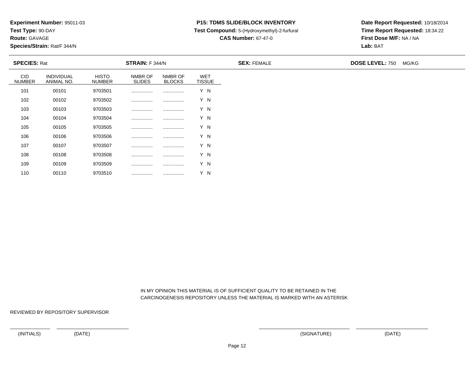**Test Type:** 90-DAY

**Route:** GAVAGE

110

**Species/Strain:** Rat/F 344/N

## **P15: TDMS SLIDE/BLOCK INVENTORY**

**Test Compound:** 5-(Hydroxymethyl)-2-furfural

**CAS Number:** 67-47-0

**Date Report Requested:** 10/18/2014**Time Report Requested:** 18:34:22**First Dose M/F:** NA / NA**Lab:** BAT

| <b>SPECIES: Rat</b>         |                          |                               | <b>STRAIN:</b> F 344/N   |                          |                             | <b>SEX: FEMALE</b> | <b>DOSE LEVEL: 750</b> | MG/KG |
|-----------------------------|--------------------------|-------------------------------|--------------------------|--------------------------|-----------------------------|--------------------|------------------------|-------|
| <b>CID</b><br><b>NUMBER</b> | INDIVIDUAL<br>ANIMAL NO. | <b>HISTO</b><br><b>NUMBER</b> | NMBR OF<br><b>SLIDES</b> | NMBR OF<br><b>BLOCKS</b> | <b>WET</b><br><b>TISSUE</b> |                    |                        |       |
| 101                         | 00101                    | 9703501                       |                          | .                        | Y N                         |                    |                        |       |
| 102                         | 00102                    | 9703502                       |                          |                          | Y N                         |                    |                        |       |
| 103                         | 00103                    | 9703503                       |                          |                          | Y N                         |                    |                        |       |
| 104                         | 00104                    | 9703504                       |                          |                          | Y N                         |                    |                        |       |
| 105                         | 00105                    | 9703505                       |                          |                          | Y N                         |                    |                        |       |
| 106                         | 00106                    | 9703506                       |                          |                          | Y N                         |                    |                        |       |
| 107                         | 00107                    | 9703507                       |                          |                          | Y N                         |                    |                        |       |
| 108                         | 00108                    | 9703508                       |                          |                          | Y N                         |                    |                        |       |
| 109                         | 00109                    | 9703509                       |                          |                          | Y N                         |                    |                        |       |

 IN MY OPINION THIS MATERIAL IS OF SUFFICIENT QUALITY TO BE RETAINED IN THECARCINOGENESIS REPOSITORY UNLESS THE MATERIAL IS MARKED WITH AN ASTERISK

REVIEWED BY REPOSITORY SUPERVISOR

<sup>00110</sup> <sup>9703510</sup> ................ ................ Y N